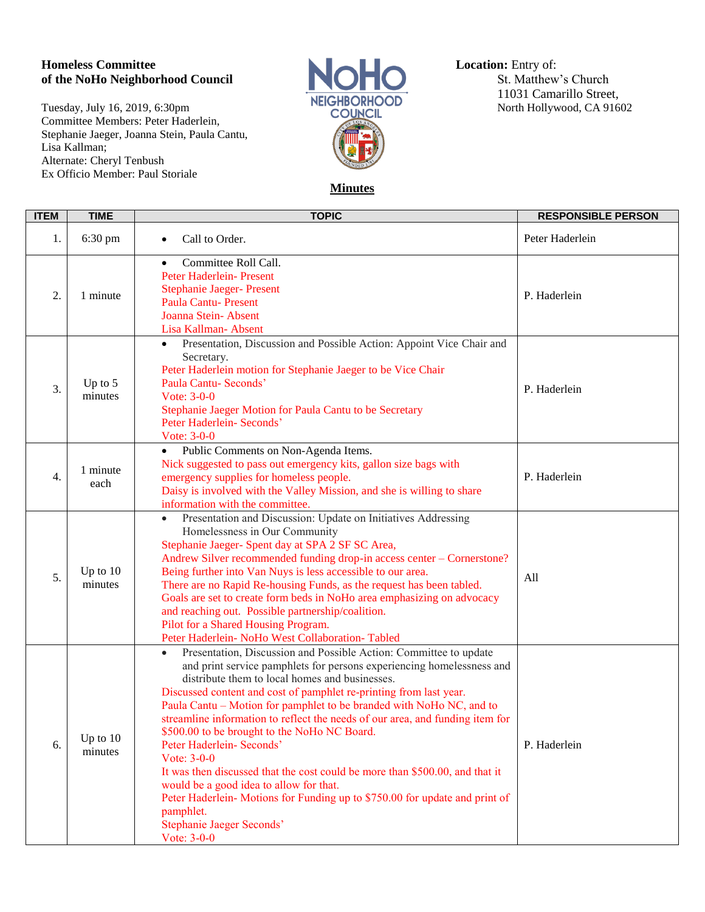## **Homeless Committee Location:** Entry of:<br> **Committee Location:** Entry of:<br>
St. Matthew's Church of the NoHo Neighborhood Council

Tuesday, July 16, 2019, 6:30pm<br>
COUNCIL Committee Members: Peter Haderlein, Stephanie Jaeger, Joanna Stein, Paula Cantu, Lisa Kallman; Alternate: Cheryl Tenbush Ex Officio Member: Paul Storiale



11031 Camarillo Street,

## **Minutes**

| <b>ITEM</b>      | <b>TIME</b>           | <b>TOPIC</b>                                                                                                                                                                                                                                                                                                                                                                                                                                                                                                                                                                                                                                                                                                                                                                                               | <b>RESPONSIBLE PERSON</b> |
|------------------|-----------------------|------------------------------------------------------------------------------------------------------------------------------------------------------------------------------------------------------------------------------------------------------------------------------------------------------------------------------------------------------------------------------------------------------------------------------------------------------------------------------------------------------------------------------------------------------------------------------------------------------------------------------------------------------------------------------------------------------------------------------------------------------------------------------------------------------------|---------------------------|
| 1.               | 6:30 pm               | Call to Order.                                                                                                                                                                                                                                                                                                                                                                                                                                                                                                                                                                                                                                                                                                                                                                                             | Peter Haderlein           |
| 2.               | 1 minute              | Committee Roll Call.<br>$\bullet$<br>Peter Haderlein- Present<br><b>Stephanie Jaeger- Present</b><br><b>Paula Cantu-Present</b><br>Joanna Stein-Absent<br>Lisa Kallman-Absent                                                                                                                                                                                                                                                                                                                                                                                                                                                                                                                                                                                                                              | P. Haderlein              |
| 3.               | Up to $5$<br>minutes  | Presentation, Discussion and Possible Action: Appoint Vice Chair and<br>Secretary.<br>Peter Haderlein motion for Stephanie Jaeger to be Vice Chair<br>Paula Cantu- Seconds'<br>Vote: $3-0-0$<br>Stephanie Jaeger Motion for Paula Cantu to be Secretary<br>Peter Haderlein- Seconds'<br>Vote: 3-0-0                                                                                                                                                                                                                                                                                                                                                                                                                                                                                                        | P. Haderlein              |
| $\overline{4}$ . | 1 minute<br>each      | Public Comments on Non-Agenda Items.<br>$\bullet$<br>Nick suggested to pass out emergency kits, gallon size bags with<br>emergency supplies for homeless people.<br>Daisy is involved with the Valley Mission, and she is willing to share<br>information with the committee.                                                                                                                                                                                                                                                                                                                                                                                                                                                                                                                              | P. Haderlein              |
| 5.               | Up to $10$<br>minutes | Presentation and Discussion: Update on Initiatives Addressing<br>$\bullet$<br>Homelessness in Our Community<br>Stephanie Jaeger- Spent day at SPA 2 SF SC Area,<br>Andrew Silver recommended funding drop-in access center - Cornerstone?<br>Being further into Van Nuys is less accessible to our area.<br>There are no Rapid Re-housing Funds, as the request has been tabled.<br>Goals are set to create form beds in NoHo area emphasizing on advocacy<br>and reaching out. Possible partnership/coalition.<br>Pilot for a Shared Housing Program.<br>Peter Haderlein- NoHo West Collaboration- Tabled                                                                                                                                                                                                 | All                       |
| 6.               | Up to $10$<br>minutes | Presentation, Discussion and Possible Action: Committee to update<br>$\bullet$<br>and print service pamphlets for persons experiencing homelessness and<br>distribute them to local homes and businesses.<br>Discussed content and cost of pamphlet re-printing from last year.<br>Paula Cantu - Motion for pamphlet to be branded with NoHo NC, and to<br>streamline information to reflect the needs of our area, and funding item for<br>\$500.00 to be brought to the NoHo NC Board.<br>Peter Haderlein- Seconds'<br>Vote: $3-0-0$<br>It was then discussed that the cost could be more than \$500.00, and that it<br>would be a good idea to allow for that.<br>Peter Haderlein-Motions for Funding up to \$750.00 for update and print of<br>pamphlet.<br>Stephanie Jaeger Seconds'<br>Vote: $3-0-0$ | P. Haderlein              |